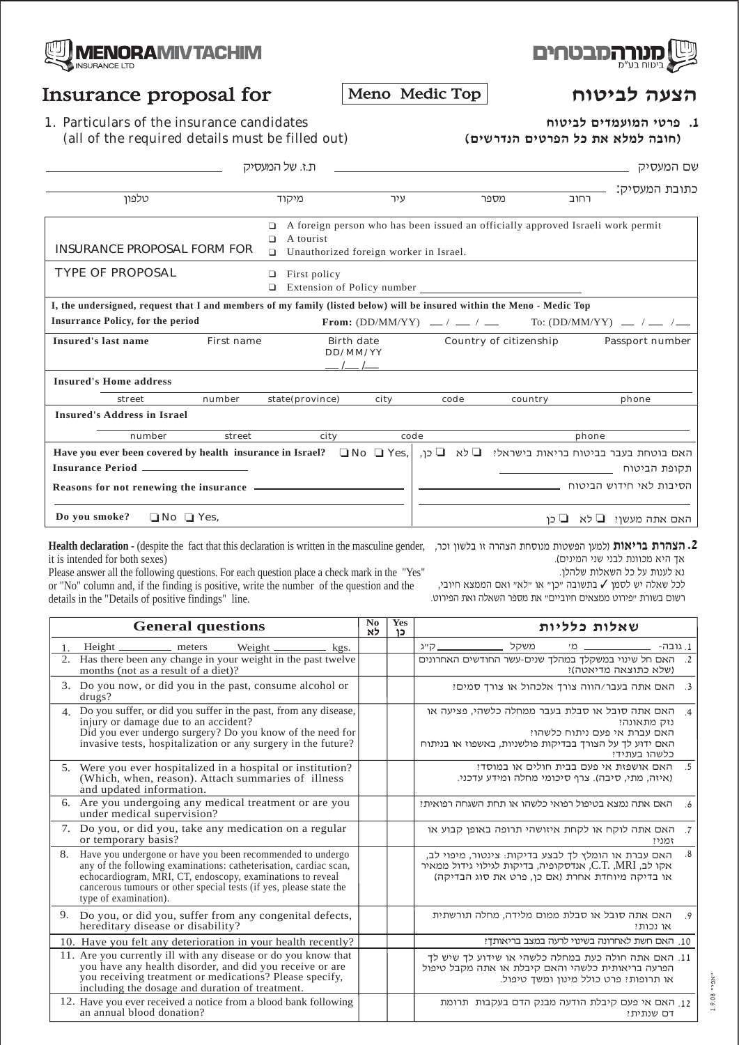

# Insurance proposal for

1. Particulars of the insurance candidates (all of the required details must be filled out)

|                                                                                                                        |                                             |      |      |                                                                                 | כתובת המעסיק:           |  |  |  |
|------------------------------------------------------------------------------------------------------------------------|---------------------------------------------|------|------|---------------------------------------------------------------------------------|-------------------------|--|--|--|
| טלפוו                                                                                                                  | מיקוד                                       | עיר  |      | מספר                                                                            | רחוב                    |  |  |  |
|                                                                                                                        |                                             |      |      | A foreign person who has been issued an officially approved Israeli work permit |                         |  |  |  |
|                                                                                                                        | A tourist                                   |      |      |                                                                                 |                         |  |  |  |
| <b>INSURANCE PROPOSAL FORM FOR</b>                                                                                     | Unauthorized foreign worker in Israel.<br>n |      |      |                                                                                 |                         |  |  |  |
| <b>TYPE OF PROPOSAL</b>                                                                                                | First policy<br>□                           |      |      |                                                                                 |                         |  |  |  |
|                                                                                                                        |                                             |      |      |                                                                                 |                         |  |  |  |
| I, the undersigned, request that I and members of my family (listed below) will be insured within the Meno - Medic Top |                                             |      |      |                                                                                 |                         |  |  |  |
| <b>Insurrance Policy, for the period</b><br><b>From:</b> (DD/MM/YY) $-/-$ / $-$ To: (DD/MM/YY) $-/-$                   |                                             |      |      |                                                                                 |                         |  |  |  |
| First name<br>Insured's last name                                                                                      | <b>Birth date</b>                           |      |      | Country of citizenship                                                          | Passport number         |  |  |  |
|                                                                                                                        | DD/MM/YY                                    |      |      |                                                                                 |                         |  |  |  |
| $-/-/$                                                                                                                 |                                             |      |      |                                                                                 |                         |  |  |  |
| <b>Insured's Home address</b>                                                                                          |                                             |      |      |                                                                                 |                         |  |  |  |
| number<br>street                                                                                                       | state(province)                             | city | code | country                                                                         | phone                   |  |  |  |
| <b>Insured's Address in Israel</b>                                                                                     |                                             |      |      |                                                                                 |                         |  |  |  |
| number<br>street                                                                                                       | city                                        | code |      |                                                                                 | phone                   |  |  |  |
| האם בוטחת בעבר בביטוח בריאות בישראל: □ לא □ כן, No □ Yes,   האם בוטחת בעבר בביטוח בריאות בישראל: □ לא □ כן, No         |                                             |      |      |                                                                                 |                         |  |  |  |
|                                                                                                                        |                                             |      |      |                                                                                 | תקופת הביטוח            |  |  |  |
|                                                                                                                        |                                             |      |      |                                                                                 | הסיבות לאי חידוש הביטוח |  |  |  |
| Do you smoke?<br>$\Box$ No $\Box$ Yes.                                                                                 |                                             |      |      |                                                                                 | האם אתה מעשן? ⊑לא ⊑כן   |  |  |  |

<mark>2. הצהרת בריאות</mark> (למען הפשטות מנוסחת הצהרה זו בלשון זכר, . Health declaration - (despite the fact that this declaration is written in the masculine gender אך היא מכוונת לבני שני המינים). it is intended for both sexes)

רשום בשורת "פירוט ממצאים חיוביים" את מספר השאלה ואת הפירוט. Please answer all the following questions. For each question place a check mark in the "Yes" or "No" column and, if the finding is positive, write the number of the question and the details in the "Details of positive findings" line.

| <b>General questions</b>                                                                                                                                                                                                                                                                           |  | <b>Yes</b><br>כו | שאלות כלליות                                                                                                                                                              |  |  |
|----------------------------------------------------------------------------------------------------------------------------------------------------------------------------------------------------------------------------------------------------------------------------------------------------|--|------------------|---------------------------------------------------------------------------------------------------------------------------------------------------------------------------|--|--|
| Height ______________ meters<br>Weight $\_\_\_\_\_\_\_\_\_\_\_\_\_\$<br>kgs.<br>Has there been any change in your weight in the past twelve<br>months (not as a result of a diet)?                                                                                                                 |  |                  | משקל<br>1. גובה-<br>_ קייג<br>2. האם חל שינוי במשקלך במהלך שנים-עשר החודשים האחרונים<br>(שלא כתוצאה מדיאטה)?                                                              |  |  |
| 3. Do you now, or did you in the past, consume alcohol or<br>drugs?                                                                                                                                                                                                                                |  |                  | ?. האם אתה בעבר/הווה צורך אלכהול או צורך סמים?                                                                                                                            |  |  |
| 4. Do you suffer, or did you suffer in the past, from any disease,<br>injury or damage due to an accident?<br>Did you ever undergo surgery? Do you know of the need for<br>invasive tests, hospitalization or any surgery in the future?                                                           |  |                  | האם אתה סובל או סבלת בעבר ממחלה כלשהי, פציעה או<br>נזק מתאונה!<br>האם עברת אי פעם ניתוח כלשהו:<br>האם ידוע לך על הצורך בבדיקות פולשניות, באשפוז או בניתוח<br>כלשהו בעתידי |  |  |
| 5. Were you ever hospitalized in a hospital or institution?<br>(Which, when, reason). Attach summaries of illness<br>and updated information.                                                                                                                                                      |  |                  | האם אושפזת אי פעם בבית חולים או במוסד?<br>(איזה, מתי, סיבה). צרף סיכומי מחלה ומידע עדכני.                                                                                 |  |  |
| 6. Are you undergoing any medical treatment or are you<br>under medical supervision?                                                                                                                                                                                                               |  |                  | האם אתה נמצא בטיפול רפואי כלשהו או תחת השגחה רפואיתי                                                                                                                      |  |  |
| 7. Do you, or did you, take any medication on a regular<br>or temporary basis?                                                                                                                                                                                                                     |  |                  | האם אתה לוקח או לקחת איזושהי תרופה באופן קבוע או<br>זמני?                                                                                                                 |  |  |
| 8.<br>Have you undergone or have you been recommended to undergo<br>any of the following examinations: catheterisation, cardiac scan,<br>echocardiogram, MRI, CT, endoscopy, examinations to reveal<br>cancerous tumours or other special tests (if yes, please state the<br>type of examination). |  |                  | האם עברת או הומלץ לך לבצע בדיקות: צינטור, מיפוי לב,<br>אקו לב, C.T. ,MRI, אנדסקופיה, בדיקות לגילוי גידול ממאיר<br>או בדיקה מיוחדת אחרת (אם כן, פרט את סוג הבדיקה)         |  |  |
| 9.<br>Do you, or did you, suffer from any congenital defects,<br>hereditary disease or disability?                                                                                                                                                                                                 |  |                  | האם אתה סובל או סבלת ממום מלידה, מחלה תורשתית<br>או נכות?                                                                                                                 |  |  |
| 10. Have you felt any deterioration in your health recently?                                                                                                                                                                                                                                       |  |                  | 10. האם חשת לאחרונה בשינוי לרעה במצב בריאותך?                                                                                                                             |  |  |
| 11. Are you currently ill with any disease or do you know that<br>you have any health disorder, and did you receive or are<br>you receiving treatment or medications? Please specify,<br>including the dosage and duration of treatment.                                                           |  |                  | 11. האם אתה חולה כעת במחלה כלשהי או שידוע לך שיש לך<br>הפרעה בריאותית כלשהי והאם קיבלת או אתה מקבל טיפול<br>או תרופות? פרט כולל מינון ומשך טיפול.                         |  |  |
| 12. Have you ever received a notice from a blood bank following<br>an annual blood donation?                                                                                                                                                                                                       |  |                  | 12. האם אי פעם קיבלת הודעה מבנק הדם בעקבות תרומת<br>דם שנתית?                                                                                                             |  |  |



נא לענות על כל השאלות שלהלן.

YVaVX`JJ

 $1.9.08$  "

לכל שאלה יש לסמן V בתשובה "כן" או "לא" ואם הממצא חיובי,

- הצעה לביטוח
- 1. פרטי המועמדים לביטוח (חובה למלא את כל הפרטים הנדרשים)

התבטחים Meno Medic Top

VV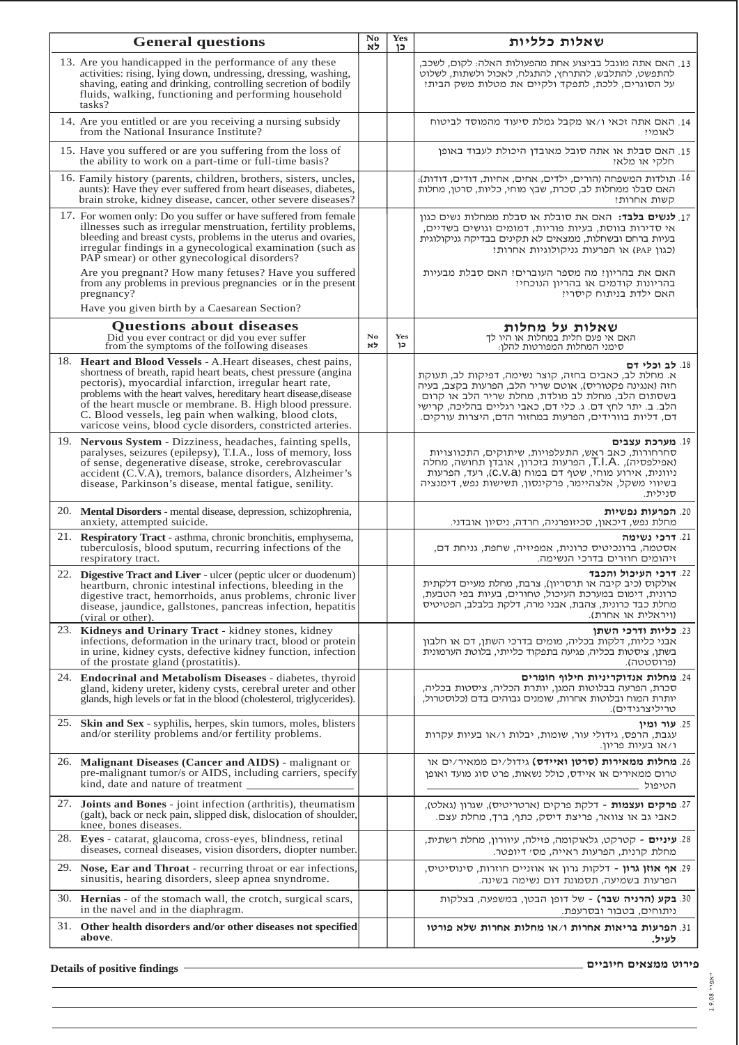| <b>General questions</b> |                                                                                                                                                                                                                                                                                                                                                                                                                                                      | N <sub>0</sub><br>לא | <b>Yes</b><br>כו | שאלות כלליות                                                                                                                                                                                                                                                                                                     |
|--------------------------|------------------------------------------------------------------------------------------------------------------------------------------------------------------------------------------------------------------------------------------------------------------------------------------------------------------------------------------------------------------------------------------------------------------------------------------------------|----------------------|------------------|------------------------------------------------------------------------------------------------------------------------------------------------------------------------------------------------------------------------------------------------------------------------------------------------------------------|
|                          | 13. Are you handicapped in the performance of any these<br>activities: rising, lying down, undressing, dressing, washing,<br>shaving, eating and drinking, controlling secretion of bodily<br>fluids, walking, functioning and performing household<br>tasks?                                                                                                                                                                                        |                      |                  | 13. האם אתה מוגבל בביצוע אחת מהפעולות האלה: לקום, לשכב,<br>להתפשט, להתלבש, להתרחץ, להתגלח, לאכול ולשתות, לשלוט<br>על הסוגרים, ללכת, לתפקד ולקיים את מטלות משק הבית!                                                                                                                                              |
|                          | 14. Are you entitled or are you receiving a nursing subsidy<br>from the National Insurance Institute?                                                                                                                                                                                                                                                                                                                                                |                      |                  | 14. האם אתה זכאי ו/או מקבל גמלת סיעוד מהמוסד לביטוח<br>לאומי?                                                                                                                                                                                                                                                    |
|                          | 15. Have you suffered or are you suffering from the loss of<br>the ability to work on a part-time or full-time basis?                                                                                                                                                                                                                                                                                                                                |                      |                  | 15. האם סבלת או אתה סובל מאובדן היכולת לעבוד באופן<br>חלקי או מלא?                                                                                                                                                                                                                                               |
|                          | 16. Family history (parents, children, brothers, sisters, uncles,<br>aunts): Have they ever suffered from heart diseases, diabetes,<br>brain stroke, kidney disease, cancer, other severe diseases?                                                                                                                                                                                                                                                  |                      |                  | 16. תולדות המשפחה (הורים, ילדים, אחים, אחיות, דודים, דודות):<br>האם סבלו ממחלות לב, סכרת, שבץ מוחי, כליות, סרטן, מחלות<br>קשות אחרות?                                                                                                                                                                            |
|                          | 17. For women only: Do you suffer or have suffered from female<br>illnesses such as irregular menstruation, fertility problems,<br>bleeding and breast cysts, problems in the uterus and ovaries,<br>irregular findings in a gynecological examination (such as<br>PAP smear) or other gynecological disorders?                                                                                                                                      |                      |                  | 17. <b>לנשים בלבד:</b> האם את סובלת או סבלת ממחלות נשים כגון<br>אי סדירות בווסת, בעיות פוריות, דמומים וגושים בשדיים,<br>בעיות ברחם ובשחלות, ממצאים לא תקינים בבדיקה גניקולוגית<br>וכגון PAP) או הפרעות גניקולוגיות אחרות?                                                                                        |
|                          | Are you pregnant? How many fetuses? Have you suffered<br>from any problems in previous pregnancies or in the present<br>pregnancy?<br>Have you given birth by a Caesarean Section?                                                                                                                                                                                                                                                                   |                      |                  | האם את בהריון? מה מספר העוברים? האם סבלת מבעיות<br>בהריונות קודמים או בהריון הנוכחי?<br>האם ילדת בניתוח קיסרי?                                                                                                                                                                                                   |
|                          | <b>Questions about diseases</b><br>Did you ever contract or did you ever suffer<br>from the symptoms of the following diseases                                                                                                                                                                                                                                                                                                                       | No<br>לא             | Yes<br>כן        | שאלות על מחלות<br>האם אי פעם חלית במחלות או היו לך<br>סימני המחלות המפורטות להלן:                                                                                                                                                                                                                                |
|                          | 18. Heart and Blood Vessels - A. Heart diseases, chest pains,<br>shortness of breath, rapid heart beats, chest pressure (angina<br>pectoris), myocardial infarction, irregular heart rate,<br>problems with the heart valves, hereditary heart disease, disease<br>of the heart muscle or membrane. B. High blood pressure.<br>C. Blood vessels, leg pain when walking, blood clots,<br>varicose veins, blood cycle disorders, constricted arteries. |                      |                  | 18. <b>לב וכלי דם</b><br>א. מחלת לב, כאבים בחזה, קוצר נשימה, דפיקות לב, תעוקת<br>חזה (אנגינה פקטוריס), אוטם שריר הלב, הפרעות בקצב, בעיה<br>בשסתום הלב, מחלת לב מולדת, מחלת שריר הלב או קרום<br>הלב. ב. יתר לחץ דם. ג. כלי דם, כאבי רגליים בהליכה, קרישי<br>דם, דליות בוורידים, הפרעות במחזור הדם, היצרות עורקים. |
|                          | 19. Nervous System - Dizziness, headaches, fainting spells,<br>paralyses, seizures (epilepsy), T.I.A., loss of memory, loss<br>of sense, degenerative disease, stroke, cerebrovascular<br>accident (C.V.A), tremors, balance disorders, Alzheimer's<br>disease, Parkinson's disease, mental fatigue, senility.                                                                                                                                       |                      |                  | 19. מערכת עצבים<br>סחרחורות, כאב ראש, התעלפויות, שיתוקים, התכווצויות<br>(אפילפסיה), .T.I.A, הפרעות בזכרון, אובדן תחושה, מחלה<br>ניוונית, אירוע מוחי, שטף דם במוח (C.V.a), רעד, הפרעות<br>בשיווי משקל, אלצהיימר, פרקינסון, תשישות נפש, דימנציה<br>סנילית.                                                         |
|                          | 20. Mental Disorders - mental disease, depression, schizophrenia,<br>anxiety, attempted suicide.                                                                                                                                                                                                                                                                                                                                                     |                      |                  | 20. הפרעות נפשיות<br>מחלת נפש, דיכאון, סכיזופרניה, חרדה, ניסיון אובדני.                                                                                                                                                                                                                                          |
|                          | 21. Respiratory Tract - asthma, chronic bronchitis, emphysema,<br>tuberculosis, blood sputum, recurring infections of the<br>respiratory tract.                                                                                                                                                                                                                                                                                                      |                      |                  | 21. דרכי נשימה<br>אסטמה, ברונכיטיס כרונית, אמפיזיה, שחפת, גניחת דם,<br>זיהומים חוזרים בדרכי הנשימה.                                                                                                                                                                                                              |
|                          | 22. Digestive Tract and Liver - ulcer (peptic ulcer or duodenum)<br>heartburn, chronic intestinal infections, bleeding in the<br>digestive tract, hemorrhoids, anus problems, chronic liver<br>disease, jaundice, gallstones, pancreas infection, hepatitis<br>(viral or other).                                                                                                                                                                     |                      |                  | 22. דרכי העיכול והכבד<br>אולקוס (כיב קיבה או תרסריון), צרבת, מחלת מעיים דלקתית<br>כרונית, דימום במערכת העיכול, טחורים, בעיות בפי הטבעת,<br>מחלת כבד כרונית, צהבת, אבני מרה, דלקת בלבלב, הפטיטיס<br>(ויראלית או אחרת).                                                                                            |
|                          | 23. Kidneys and Urinary Tract - kidney stones, kidney<br>infections, deformation in the urinary tract, blood or protein<br>in urine, kidney cysts, defective kidney function, infection<br>of the prostate gland (prostatitis).                                                                                                                                                                                                                      |                      |                  | 23. כליות ודרכי השתו<br>אבני כליות, דלקות בכליה, מומים בדרכי השתן, דם או חלבון<br>בשתן, ציסטות בכליה, פגיעה בתפקוד כלייתי, בלוטת הערמונית<br>(פרוסטטה).                                                                                                                                                          |
|                          | 24. Endocrinal and Metabolism Diseases - diabetes, thyroid<br>gland, kideny ureter, kideny cysts, cerebral ureter and other<br>glands, high levels or fat in the blood (cholesterol, triglycerides).                                                                                                                                                                                                                                                 |                      |                  | 24. מחלות אנדוקריניות חילוף חומרים<br>סכרת, הפרעה בבלוטות המגן, יותרת הכליה, ציסטות בכליה,<br>יותרת המוח ובלוטות אחרות, שומנים גבוהים בדם (כלוסטרול,<br>טריליצרגידים).                                                                                                                                           |
| 25.                      | Skin and Sex - syphilis, herpes, skin tumors, moles, blisters<br>and/or sterility problems and/or fertility problems.                                                                                                                                                                                                                                                                                                                                |                      |                  | 25. עור ומין<br>עגבת, הרפס, גידולי עור, שומות, יבלות ו/או בעיות עקרות<br>ו/או בעיות פריון.                                                                                                                                                                                                                       |
|                          | 26. Malignant Diseases (Cancer and AIDS) - malignant or<br>pre-malignant tumor/s or AIDS, including carriers, specify<br>kind, date and nature of treatment                                                                                                                                                                                                                                                                                          |                      |                  | 26. <b>מחלות ממאירות (סרטן ואיידס)</b> גידול/ים ממאיר/ים או<br>טרום ממאירים או איידס, כולל נשאות, פרט סוג מועד ואופן<br>הטיפול <sub>-</sub>                                                                                                                                                                      |
|                          | 27. Joints and Bones - joint infection (arthritis), theumatism<br>(galt), back or neck pain, slipped disk, dislocation of shoulder,<br>knee, bones diseases.                                                                                                                                                                                                                                                                                         |                      |                  | 27. <b>פרקים ועצמות -</b> דלקת פרקים (ארטריטיס), שגרון (גאלט),<br>כאבי גב או צוואר, פריצת דיסק, כתף, ברך, מחלת עצם.                                                                                                                                                                                              |
|                          | 28. Eyes - catarat, glaucoma, cross-eyes, blindness, retinal<br>diseases, corneal diseases, vision disorders, diopter number.                                                                                                                                                                                                                                                                                                                        |                      |                  | 28. <b>עיניים -</b> קטרקט, גלאוקומה, פזילה, עיוורון, מחלת רשתית,<br>מחלת קרנית, הפרעות ראייה, מסי דיופטר.                                                                                                                                                                                                        |
|                          | 29. Nose, Ear and Throat - recurring throat or ear infections,<br>sinusitis, hearing disorders, sleep apnea snyndrome.                                                                                                                                                                                                                                                                                                                               |                      |                  | 29. <b>אף אוזן גרון -</b> דלקות גרון או אוזניים חוזרות, סינוסיטיס,<br>הפרעות בשמיעה, תסמונת דום נשימה בשינה.                                                                                                                                                                                                     |
|                          | 30. <b>Hernias</b> - of the stomach wall, the crotch, surgical scars,<br>in the navel and in the diaphragm.                                                                                                                                                                                                                                                                                                                                          |                      |                  | 30. <b>בקע (הרניה שבר) -</b> של דופן הבטן, במשפעה, בצלקות<br>ניתוחים, בטבור ובסרעפת.                                                                                                                                                                                                                             |
|                          | 31. Other health disorders and/or other diseases not specified<br>above.                                                                                                                                                                                                                                                                                                                                                                             |                      |                  | 31. הפרעות בריאות אחרות ו/או מחלות אחרות שלא פורטו<br>לעיל.                                                                                                                                                                                                                                                      |

**Details of positive findings**

"NG <" 80'6'T Yava VV ali